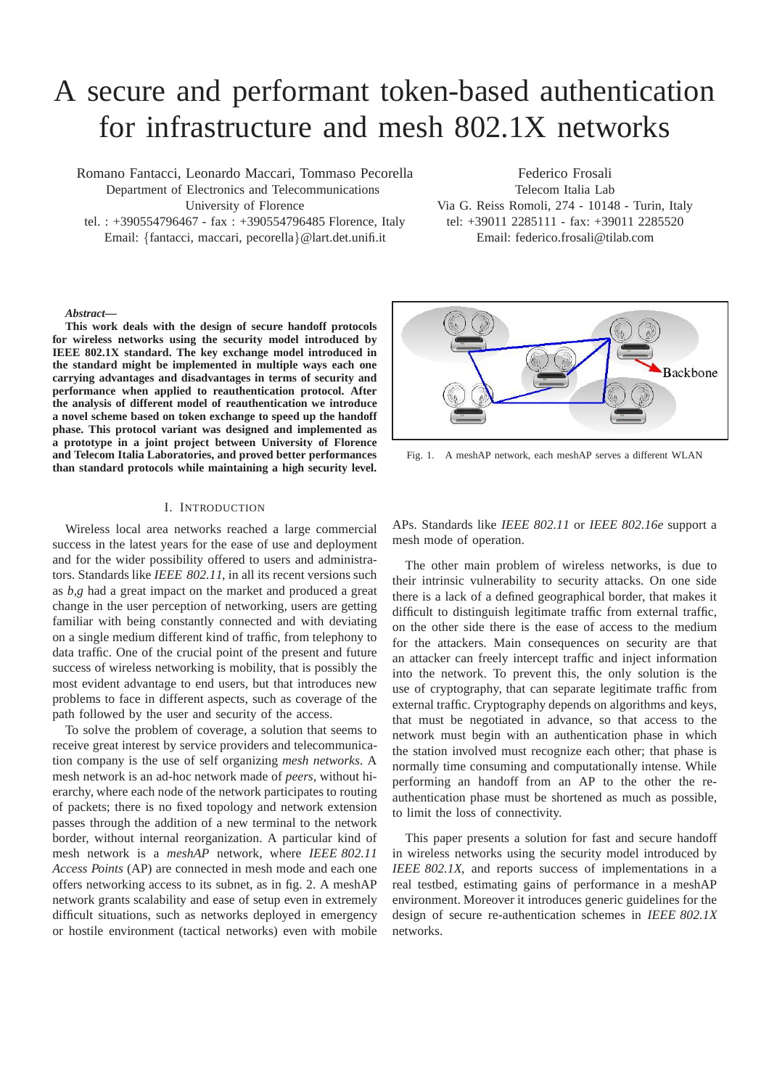# A secure and performant token-based authentication for infrastructure and mesh 802.1X networks

Romano Fantacci, Leonardo Maccari, Tommaso Pecorella

Department of Electronics and Telecommunications University of Florence

tel. : +390554796467 - fax : +390554796485 Florence, Italy Email: {fantacci, maccari, pecorella}@lart.det.unifi.it

Federico Frosali Telecom Italia Lab Via G. Reiss Romoli, 274 - 10148 - Turin, Italy tel: +39011 2285111 - fax: +39011 2285520 Email: federico.frosali@tilab.com

#### *Abstract***—**

**This work deals with the design of secure handoff protocols for wireless networks using the security model introduced by IEEE 802.1X standard. The key exchange model introduced in the standard might be implemented in multiple ways each one carrying advantages and disadvantages in terms of security and performance when applied to reauthentication protocol. After the analysis of different model of reauthentication we introduce a novel scheme based on token exchange to speed up the handoff phase. This protocol variant was designed and implemented as a prototype in a joint project between University of Florence and Telecom Italia Laboratories, and proved better performances than standard protocols while maintaining a high security level.**

### I. INTRODUCTION

Wireless local area networks reached a large commercial success in the latest years for the ease of use and deployment and for the wider possibility offered to users and administrators. Standards like *IEEE 802.11*, in all its recent versions such as *b,g* had a great impact on the market and produced a great change in the user perception of networking, users are getting familiar with being constantly connected and with deviating on a single medium different kind of traffic, from telephony to data traffic. One of the crucial point of the present and future success of wireless networking is mobility, that is possibly the most evident advantage to end users, but that introduces new problems to face in different aspects, such as coverage of the path followed by the user and security of the access.

To solve the problem of coverage, a solution that seems to receive great interest by service providers and telecommunication company is the use of self organizing *mesh networks*. A mesh network is an ad-hoc network made of *peers*, without hierarchy, where each node of the network participates to routing of packets; there is no fixed topology and network extension passes through the addition of a new terminal to the network border, without internal reorganization. A particular kind of mesh network is a *meshAP* network, where *IEEE 802.11 Access Points* (AP) are connected in mesh mode and each one offers networking access to its subnet, as in fig. 2. A meshAP network grants scalability and ease of setup even in extremely difficult situations, such as networks deployed in emergency or hostile environment (tactical networks) even with mobile



Fig. 1. A meshAP network, each meshAP serves a different WLAN

APs. Standards like *IEEE 802.11* or *IEEE 802.16e* support a mesh mode of operation.

The other main problem of wireless networks, is due to their intrinsic vulnerability to security attacks. On one side there is a lack of a defined geographical border, that makes it difficult to distinguish legitimate traffic from external traffic, on the other side there is the ease of access to the medium for the attackers. Main consequences on security are that an attacker can freely intercept traffic and inject information into the network. To prevent this, the only solution is the use of cryptography, that can separate legitimate traffic from external traffic. Cryptography depends on algorithms and keys, that must be negotiated in advance, so that access to the network must begin with an authentication phase in which the station involved must recognize each other; that phase is normally time consuming and computationally intense. While performing an handoff from an AP to the other the reauthentication phase must be shortened as much as possible, to limit the loss of connectivity.

This paper presents a solution for fast and secure handoff in wireless networks using the security model introduced by *IEEE 802.1X*, and reports success of implementations in a real testbed, estimating gains of performance in a meshAP environment. Moreover it introduces generic guidelines for the design of secure re-authentication schemes in *IEEE 802.1X* networks.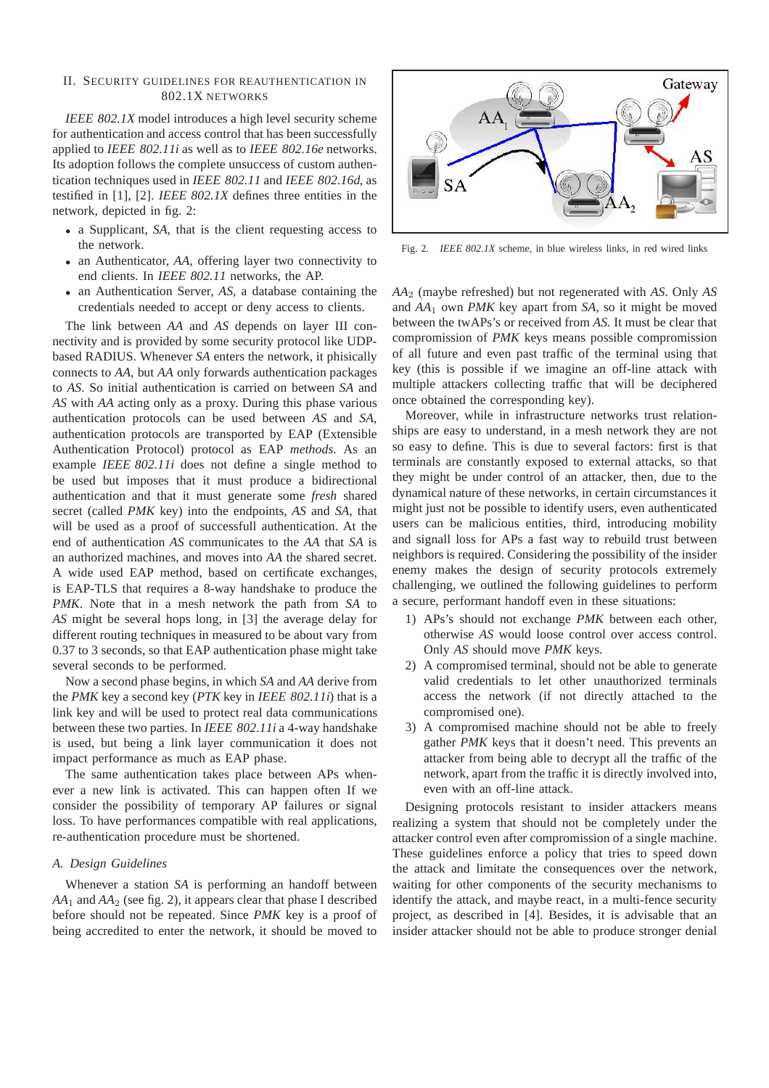# II. SECURITY GUIDELINES FOR REAUTHENTICATION IN 802.1X NETWORKS

*IEEE 802.1X* model introduces a high level security scheme for authentication and access control that has been successfully applied to *IEEE 802.11i* as well as to *IEEE 802.16e* networks. Its adoption follows the complete unsuccess of custom authentication techniques used in *IEEE 802.11* and *IEEE 802.16d*, as testified in [1], [2]. *IEEE 802.1X* defines three entities in the network, depicted in fig. 2:

- a Supplicant, *SA*, that is the client requesting access to the network.
- an Authenticator, *AA*, offering layer two connectivity to end clients. In *IEEE 802.11* networks, the AP.
- an Authentication Server, *AS*, a database containing the credentials needed to accept or deny access to clients.

The link between *AA* and *AS* depends on layer III connectivity and is provided by some security protocol like UDPbased RADIUS. Whenever *SA* enters the network, it phisically connects to *AA*, but *AA* only forwards authentication packages to *AS*. So initial authentication is carried on between *SA* and *AS* with *AA* acting only as a proxy. During this phase various authentication protocols can be used between *AS* and *SA*, authentication protocols are transported by EAP (Extensible Authentication Protocol) protocol as EAP *methods*. As an example *IEEE 802.11i* does not define a single method to be used but imposes that it must produce a bidirectional authentication and that it must generate some *fresh* shared secret (called *PMK* key) into the endpoints, *AS* and *SA*, that will be used as a proof of successfull authentication. At the end of authentication *AS* communicates to the *AA* that *SA* is an authorized machines, and moves into *AA* the shared secret. A wide used EAP method, based on certificate exchanges, is EAP-TLS that requires a 8-way handshake to produce the *PMK*. Note that in a mesh network the path from *SA* to *AS* might be several hops long, in [3] the average delay for different routing techniques in measured to be about vary from 0.37 to 3 seconds, so that EAP authentication phase might take several seconds to be performed.

Now a second phase begins, in which *SA* and *AA* derive from the *PMK* key a second key (*PTK* key in *IEEE 802.11i*) that is a link key and will be used to protect real data communications between these two parties. In *IEEE 802.11i* a 4-way handshake is used, but being a link layer communication it does not impact performance as much as EAP phase.

The same authentication takes place between APs whenever a new link is activated. This can happen often If we consider the possibility of temporary AP failures or signal loss. To have performances compatible with real applications, re-authentication procedure must be shortened.

## *A. Design Guidelines*

Whenever a station *SA* is performing an handoff between  $AA_1$  and  $AA_2$  (see fig. 2), it appears clear that phase I described before should not be repeated. Since *PMK* key is a proof of being accredited to enter the network, it should be moved to



Fig. 2. *IEEE 802.1X* scheme, in blue wireless links, in red wired links

*AA*<sup>2</sup> (maybe refreshed) but not regenerated with *AS*. Only *AS* and *AA*<sup>1</sup> own *PMK* key apart from *SA*, so it might be moved between the twAPs's or received from *AS*. It must be clear that compromission of *PMK* keys means possible compromission of all future and even past traffic of the terminal using that key (this is possible if we imagine an off-line attack with multiple attackers collecting traffic that will be deciphered once obtained the corresponding key).

Moreover, while in infrastructure networks trust relationships are easy to understand, in a mesh network they are not so easy to define. This is due to several factors: first is that terminals are constantly exposed to external attacks, so that they might be under control of an attacker, then, due to the dynamical nature of these networks, in certain circumstances it might just not be possible to identify users, even authenticated users can be malicious entities, third, introducing mobility and signall loss for APs a fast way to rebuild trust between neighbors is required. Considering the possibility of the insider enemy makes the design of security protocols extremely challenging, we outlined the following guidelines to perform a secure, performant handoff even in these situations:

- 1) APs's should not exchange *PMK* between each other, otherwise *AS* would loose control over access control. Only *AS* should move *PMK* keys.
- 2) A compromised terminal, should not be able to generate valid credentials to let other unauthorized terminals access the network (if not directly attached to the compromised one).
- 3) A compromised machine should not be able to freely gather *PMK* keys that it doesn't need. This prevents an attacker from being able to decrypt all the traffic of the network, apart from the traffic it is directly involved into, even with an off-line attack.

Designing protocols resistant to insider attackers means realizing a system that should not be completely under the attacker control even after compromission of a single machine. These guidelines enforce a policy that tries to speed down the attack and limitate the consequences over the network, waiting for other components of the security mechanisms to identify the attack, and maybe react, in a multi-fence security project, as described in [4]. Besides, it is advisable that an insider attacker should not be able to produce stronger denial